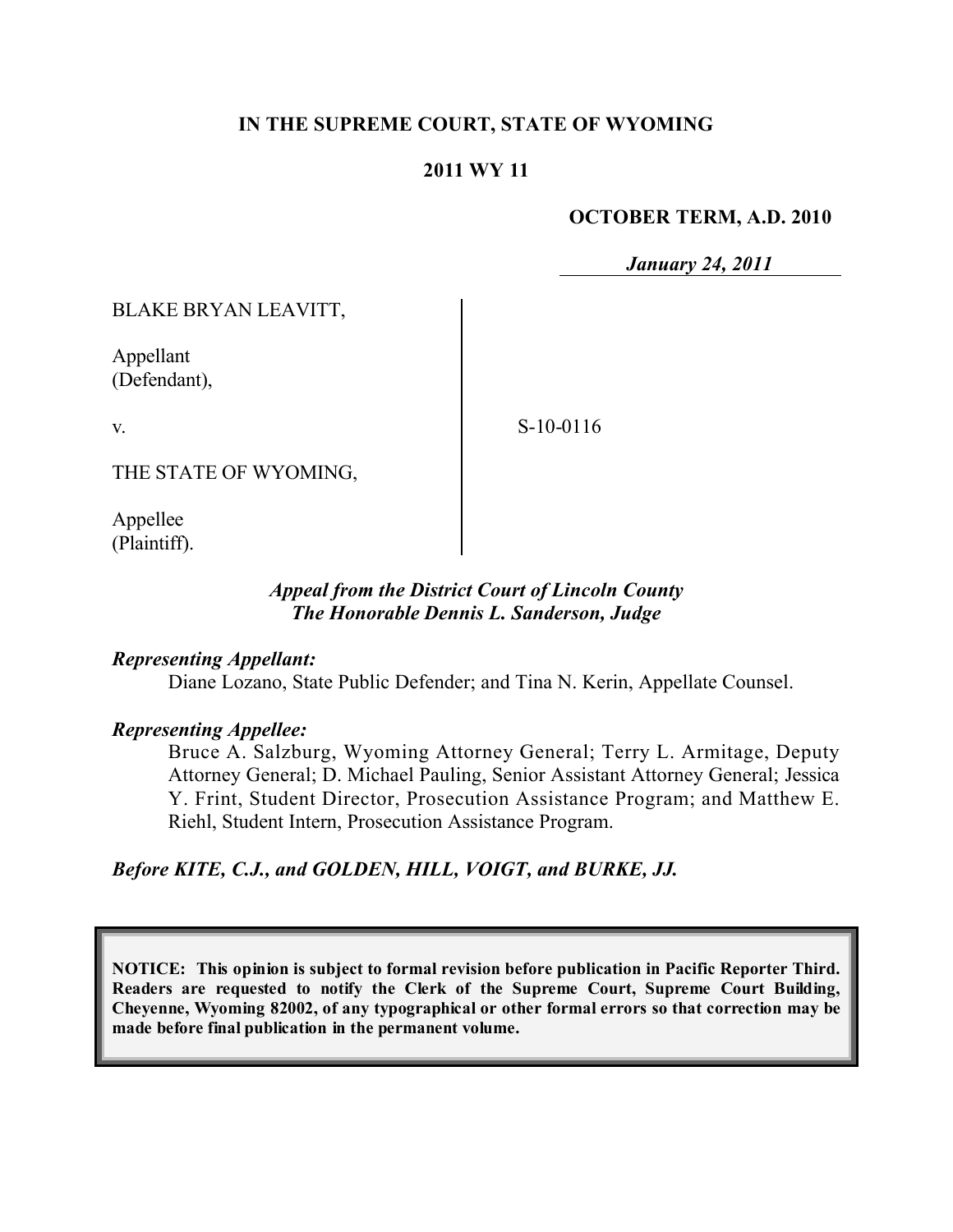## **IN THE SUPREME COURT, STATE OF WYOMING**

### **2011 WY 11**

#### **OCTOBER TERM, A.D. 2010**

*January 24, 2011*

BLAKE BRYAN LEAVITT,

Appellant (Defendant),

v.

S-10-0116

THE STATE OF WYOMING,

Appellee (Plaintiff).

## *Appeal from the District Court of Lincoln County The Honorable Dennis L. Sanderson, Judge*

### *Representing Appellant:*

Diane Lozano, State Public Defender; and Tina N. Kerin, Appellate Counsel.

### *Representing Appellee:*

Bruce A. Salzburg, Wyoming Attorney General; Terry L. Armitage, Deputy Attorney General; D. Michael Pauling, Senior Assistant Attorney General; Jessica Y. Frint, Student Director, Prosecution Assistance Program; and Matthew E. Riehl, Student Intern, Prosecution Assistance Program.

*Before KITE, C.J., and GOLDEN, HILL, VOIGT, and BURKE, JJ.*

**NOTICE: This opinion is subject to formal revision before publication in Pacific Reporter Third. Readers are requested to notify the Clerk of the Supreme Court, Supreme Court Building, Cheyenne, Wyoming 82002, of any typographical or other formal errors so that correction may be made before final publication in the permanent volume.**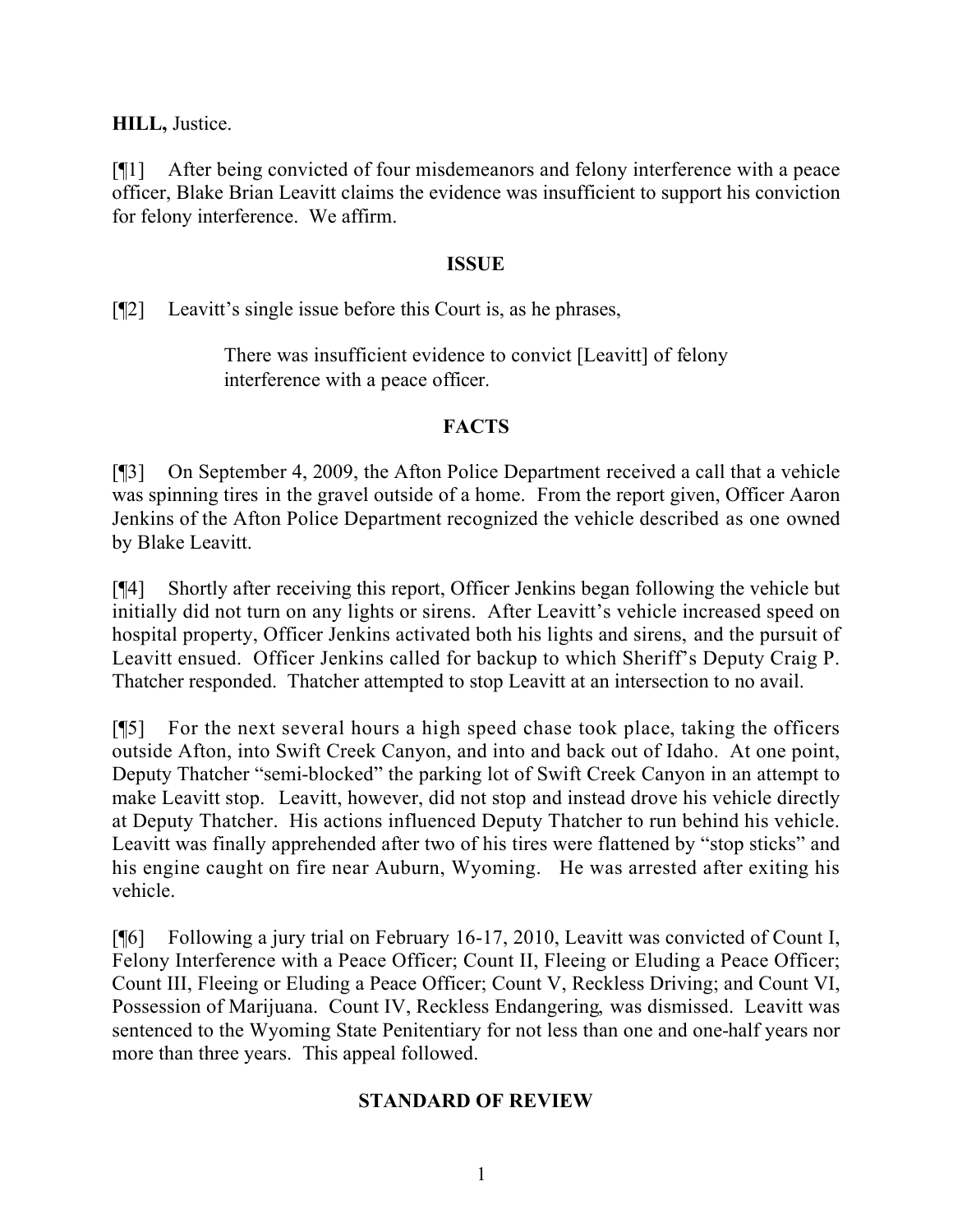**HILL,** Justice.

[¶1] After being convicted of four misdemeanors and felony interference with a peace officer, Blake Brian Leavitt claims the evidence was insufficient to support his conviction for felony interference. We affirm.

## **ISSUE**

[¶2] Leavitt's single issue before this Court is, as he phrases,

There was insufficient evidence to convict [Leavitt] of felony interference with a peace officer.

# **FACTS**

[¶3] On September 4, 2009, the Afton Police Department received a call that a vehicle was spinning tires in the gravel outside of a home. From the report given, Officer Aaron Jenkins of the Afton Police Department recognized the vehicle described as one owned by Blake Leavitt.

[¶4] Shortly after receiving this report, Officer Jenkins began following the vehicle but initially did not turn on any lights or sirens. After Leavitt's vehicle increased speed on hospital property, Officer Jenkins activated both his lights and sirens, and the pursuit of Leavitt ensued. Officer Jenkins called for backup to which Sheriff's Deputy Craig P. Thatcher responded. Thatcher attempted to stop Leavitt at an intersection to no avail.

[¶5] For the next several hours a high speed chase took place, taking the officers outside Afton, into Swift Creek Canyon, and into and back out of Idaho. At one point, Deputy Thatcher "semi-blocked" the parking lot of Swift Creek Canyon in an attempt to make Leavitt stop. Leavitt, however, did not stop and instead drove his vehicle directly at Deputy Thatcher. His actions influenced Deputy Thatcher to run behind his vehicle. Leavitt was finally apprehended after two of his tires were flattened by "stop sticks" and his engine caught on fire near Auburn, Wyoming. He was arrested after exiting his vehicle.

[¶6] Following a jury trial on February 16-17, 2010, Leavitt was convicted of Count I, Felony Interference with a Peace Officer; Count II, Fleeing or Eluding a Peace Officer; Count III, Fleeing or Eluding a Peace Officer; Count V, Reckless Driving; and Count VI, Possession of Marijuana. Count IV, Reckless Endangering, was dismissed. Leavitt was sentenced to the Wyoming State Penitentiary for not less than one and one-half years nor more than three years. This appeal followed.

# **STANDARD OF REVIEW**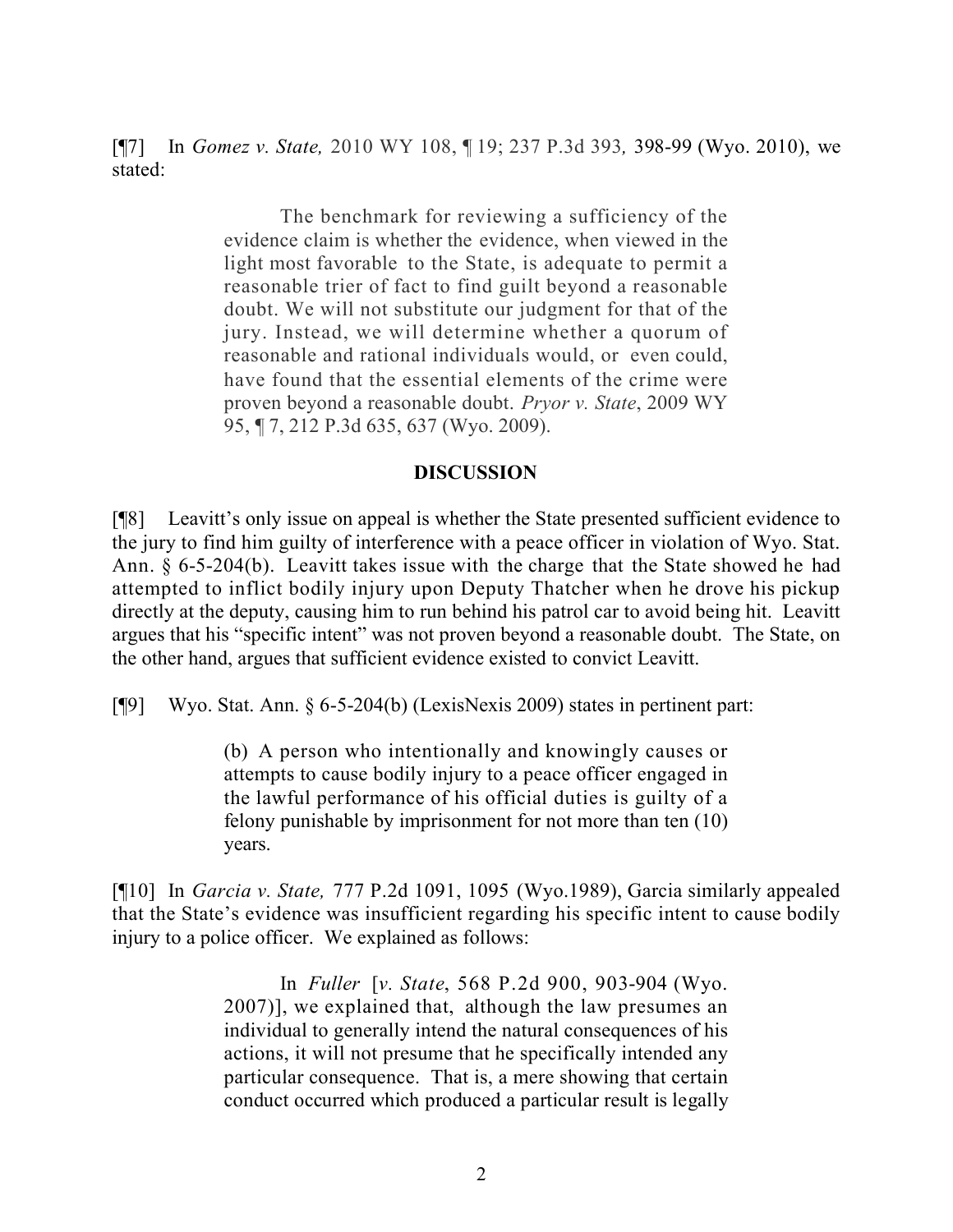[¶7] In *Gomez v. State,* 2010 WY 108, ¶ 19; 237 P.3d 393*,* 398-99 (Wyo. 2010), we stated:

> The benchmark for reviewing a sufficiency of the evidence claim is whether the evidence, when viewed in the light most favorable to the State, is adequate to permit a reasonable trier of fact to find guilt beyond a reasonable doubt. We will not substitute our judgment for that of the jury. Instead, we will determine whether a quorum of reasonable and rational individuals would, or even could, have found that the essential elements of the crime were proven beyond a reasonable doubt. *Pryor v. State*, 2009 WY 95, ¶ 7, 212 P.3d 635, 637 (Wyo. 2009).

### **DISCUSSION**

[¶8] Leavitt's only issue on appeal is whether the State presented sufficient evidence to the jury to find him guilty of interference with a peace officer in violation of Wyo. Stat. Ann. § 6-5-204(b). Leavitt takes issue with the charge that the State showed he had attempted to inflict bodily injury upon Deputy Thatcher when he drove his pickup directly at the deputy, causing him to run behind his patrol car to avoid being hit. Leavitt argues that his "specific intent" was not proven beyond a reasonable doubt. The State, on the other hand, argues that sufficient evidence existed to convict Leavitt.

[¶9] Wyo. Stat. Ann. § 6-5-204(b) (LexisNexis 2009) states in pertinent part:

(b) A person who intentionally and knowingly causes or attempts to cause bodily injury to a peace officer engaged in the lawful performance of his official duties is guilty of a felony punishable by imprisonment for not more than ten (10) years.

[¶10] In *Garcia v. State,* 777 P.2d 1091, 1095 (Wyo.1989), Garcia similarly appealed that the State's evidence was insufficient regarding his specific intent to cause bodily injury to a police officer. We explained as follows:

> In *Fuller* [*v. State*, 568 P.2d 900, 903-904 (Wyo. 2007)], we explained that, although the law presumes an individual to generally intend the natural consequences of his actions, it will not presume that he specifically intended any particular consequence. That is, a mere showing that certain conduct occurred which produced a particular result is legally